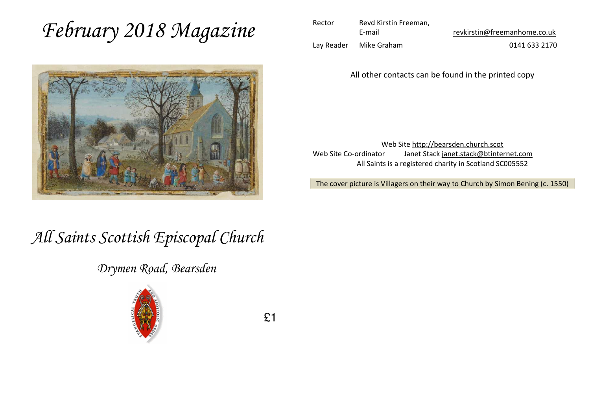# *February 2018 Magazine*



| Rector     | Revd Kirstin Freeman, |                              |  |  |
|------------|-----------------------|------------------------------|--|--|
|            | E-mail                | revkirstin@freemanhome.co.uk |  |  |
| Lav Reader | Mike Graham           | 0141 633 2170                |  |  |

All other contacts can be found in the printed copy

Web Site http://bearsden.church.scot Web Site Co-ordinator Janet Stack janet.stack@btinternet.com All Saints is a registered charity in Scotland SC005552

The cover picture is Villagers on their way to Church by Simon Bening (c. 1550)

# *All Saints Scottish Episcopal Church*

*Drymen Road, Bearsden*



£1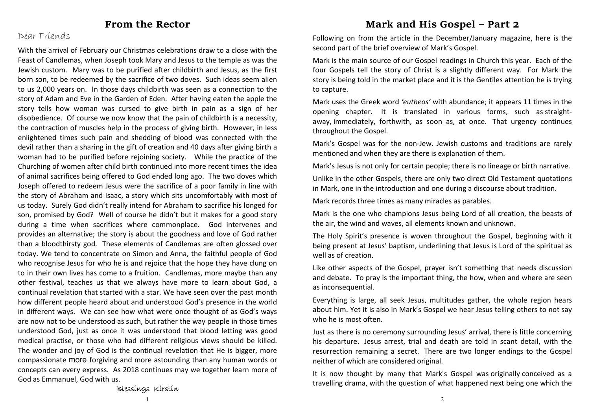#### **From the Rector**

#### Dear Friends

With the arrival of February our Christmas celebrations draw to a close with the Feast of Candlemas, when Joseph took Mary and Jesus to the temple as was the Jewish custom. Mary was to be purified after childbirth and Jesus, as the first born son, to be redeemed by the sacrifice of two doves. Such ideas seem alien to us 2,000 years on. In those days childbirth was seen as a connection to the story of Adam and Eve in the Garden of Eden. After having eaten the apple the story tells how woman was cursed to give birth in pain as a sign of her disobedience. Of course we now know that the pain of childbirth is a necessity, the contraction of muscles help in the process of giving birth. However, in less enlightened times such pain and shedding of blood was connected with the devil rather than a sharing in the gift of creation and 40 days after giving birth a woman had to be purified before rejoining society. While the practice of the Churching of women after child birth continued into more recent times the idea of animal sacrifices being offered to God ended long ago. The two doves which Joseph offered to redeem Jesus were the sacrifice of a poor family in line with the story of Abraham and Isaac, a story which sits uncomfortably with most of us today. Surely God didn't really intend for Abraham to sacrifice his longed for son, promised by God? Well of course he didn't but it makes for a good story during a time when sacrifices where commonplace. God intervenes and provides an alternative; the story is about the goodness and love of God rather than a bloodthirsty god. These elements of Candlemas are often glossed over today. We tend to concentrate on Simon and Anna, the faithful people of God who recognise Jesus for who he is and rejoice that the hope they have clung on to in their own lives has come to a fruition. Candlemas, more maybe than any other festival, teaches us that we always have more to learn about God, a continual revelation that started with a star. We have seen over the past month how different people heard about and understood God's presence in the world in different ways. We can see how what were once thought of as God's ways are now not to be understood as such, but rather the way people in those times understood God, just as once it was understood that blood letting was good medical practise, or those who had different religious views should be killed. The wonder and joy of God is the continual revelation that He is bigger, more compassionate more forgiving and more astounding than any human words or concepts can every express. As 2018 continues may we together learn more of God as Emmanuel, God with us.

#### **Mark and His Gospel – Part 2**

Following on from the article in the December/January magazine, here is the second part of the brief overview of Mark's Gospel.

Mark is the main source of our Gospel readings in Church this year. Each of the four Gospels tell the story of Christ is a slightly different way. For Mark the story is being told in the market place and it is the Gentiles attention he is trying to capture.

Mark uses the Greek word *'eutheos'* with abundance; it appears 11 times in the opening chapter. It is translated in various forms, such as straightaway, immediately, forthwith, as soon as, at once. That urgency continues throughout the Gospel.

Mark's Gospel was for the non-Jew. Jewish customs and traditions are rarely mentioned and when they are there is explanation of them.

Mark's Jesus is not only for certain people; there is no lineage or birth narrative.

Unlike in the other Gospels, there are only two direct Old Testament quotations in Mark, one in the introduction and one during a discourse about tradition.

Mark records three times as many miracles as parables.

Mark is the one who champions Jesus being Lord of all creation, the beasts of the air, the wind and waves, all elements known and unknown.

The Holy Spirit's presence is woven throughout the Gospel, beginning with it being present at Jesus' baptism, underlining that Jesus is Lord of the spiritual as well as of creation.

Like other aspects of the Gospel, prayer isn't something that needs discussion and debate. To pray is the important thing, the how, when and where are seen as inconsequential.

Everything is large, all seek Jesus, multitudes gather, the whole region hears about him. Yet it is also in Mark's Gospel we hear Jesus telling others to not say who he is most often.

Just as there is no ceremony surrounding Jesus' arrival, there is little concerning his departure. Jesus arrest, trial and death are told in scant detail, with the resurrection remaining a secret. There are two longer endings to the Gospel neither of which are considered original.

It is now thought by many that Mark's Gospel was originally conceived as a travelling drama, with the question of what happened next being one which the

Blessings Kirstin

1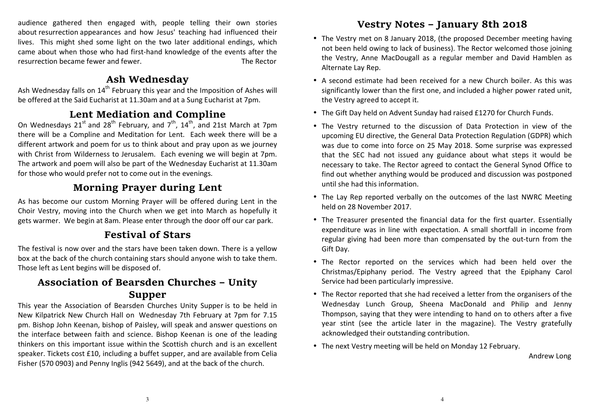audience gathered then engaged with, people telling their own stories about resurrection appearances and how Jesus' teaching had influenced their lives. This might shed some light on the two later additional endings, which came about when those who had first-hand knowledge of the events after the resurrection became fewer and fewer. The Rector

### **Ash Wednesday**

Ash Wednesday falls on  $14^{\text{th}}$  February this year and the Imposition of Ashes will be offered at the Said Eucharist at 11.30am and at a Sung Eucharist at 7pm.

# **Lent Mediation and Compline**

On Wednesdays 21<sup>st</sup> and 28<sup>th</sup> February, and 7<sup>th</sup>, 14<sup>th</sup>, and 21st March at 7pm there will be a Compline and Meditation for Lent. Each week there will be a different artwork and poem for us to think about and pray upon as we journey with Christ from Wilderness to Jerusalem. Each evening we will begin at 7pm. The artwork and poem will also be part of the Wednesday Eucharist at 11.30am for those who would prefer not to come out in the evenings.

# **Morning Prayer during Lent**

As has become our custom Morning Prayer will be offered during Lent in the Choir Vestry, moving into the Church when we get into March as hopefully it gets warmer. We begin at 8am. Please enter through the door off our car park.

# **Festival of Stars**

The festival is now over and the stars have been taken down. There is a yellow box at the back of the church containing stars should anyone wish to take them. Those left as Lent begins will be disposed of.

# **Association of Bearsden Churches – Unity Supper**

 This year the Association of Bearsden Churches Unity Supper is to be held in New Kilpatrick New Church Hall on Wednesday 7th February at 7pm for 7.15 pm. Bishop John Keenan, bishop of Paisley, will speak and answer questions on the interface between faith and science. Bishop Keenan is one of the leading thinkers on this important issue within the Scottish church and is an excellent speaker. Tickets cost £10, including a buffet supper, and are available from Celia Fisher (570 0903) and Penny Inglis (942 5649), and at the back of the church.

# **Vestry Notes – January 8th 2018**

- The Vestry met on 8 January 2018, (the proposed December meeting having not been held owing to lack of business). The Rector welcomed those joining the Vestry, Anne MacDougall as a regular member and David Hamblen as Alternate Lay Rep.
- A second estimate had been received for a new Church boiler. As this was significantly lower than the first one, and included a higher power rated unit, the Vestry agreed to accept it.
- The Gift Day held on Advent Sunday had raised £1270 for Church Funds.
- The Vestry returned to the discussion of Data Protection in view of the upcoming EU directive, the General Data Protection Regulation (GDPR) which was due to come into force on 25 May 2018. Some surprise was expressed that the SEC had not issued any guidance about what steps it would be necessary to take. The Rector agreed to contact the General Synod Office to find out whether anything would be produced and discussion was postponed until she had this information.
- The Lay Rep reported verbally on the outcomes of the last NWRC Meeting held on 28 November 2017.
- The Treasurer presented the financial data for the first quarter. Essentially expenditure was in line with expectation. A small shortfall in income from regular giving had been more than compensated by the out-turn from the Gift Day.
- The Rector reported on the services which had been held over the Christmas/Epiphany period. The Vestry agreed that the Epiphany Carol Service had been particularly impressive.
- The Rector reported that she had received a letter from the organisers of the Wednesday Lunch Group, Sheena MacDonald and Philip and Jenny Thompson, saying that they were intending to hand on to others after a five year stint (see the article later in the magazine). The Vestry gratefully acknowledged their outstanding contribution.
- The next Vestry meeting will be held on Monday 12 February.

Andrew Long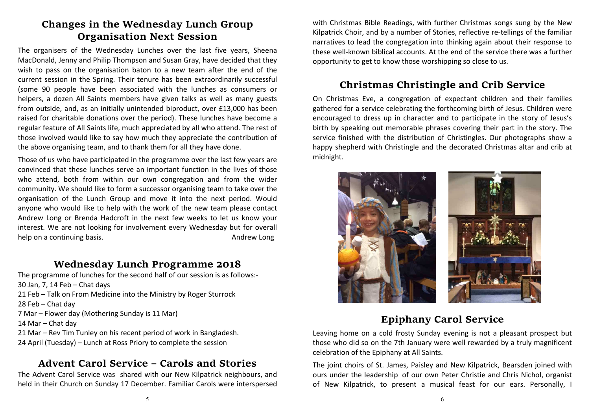# **Changes in the Wednesday Lunch Group Organisation Next Session**

The organisers of the Wednesday Lunches over the last five years, Sheena MacDonald, Jenny and Philip Thompson and Susan Gray, have decided that they wish to pass on the organisation baton to a new team after the end of the current session in the Spring. Their tenure has been extraordinarily successful (some 90 people have been associated with the lunches as consumers or helpers, a dozen All Saints members have given talks as well as many guests from outside, and, as an initially unintended biproduct, over £13,000 has been raised for charitable donations over the period). These lunches have become a regular feature of All Saints life, much appreciated by all who attend. The rest of those involved would like to say how much they appreciate the contribution of the above organising team, and to thank them for all they have done.

Those of us who have participated in the programme over the last few years are convinced that these lunches serve an important function in the lives of those who attend, both from within our own congregation and from the wider community. We should like to form a successor organising team to take over the organisation of the Lunch Group and move it into the next period. Would anyone who would like to help with the work of the new team please contact Andrew Long or Brenda Hadcroft in the next few weeks to let us know your interest. We are not looking for involvement every Wednesday but for overall help on a continuing basis. The same of the set of the set of the set of the set of the set of the set of the set of the set of the set of the set of the set of the set of the set of the set of the set of the set of the se

#### **Wednesday Lunch Programme 2018**

 The programme of lunches for the second half of our session is as follows:- 30 Jan, 7, 14 Feb – Chat days 21 Feb – Talk on From Medicine into the Ministry by Roger Sturrock 28 Feb – Chat day 7 Mar – Flower day (Mothering Sunday is 11 Mar) 14 Mar – Chat day 21 Mar – Rev Tim Tunley on his recent period of work in Bangladesh. 24 April (Tuesday) – Lunch at Ross Priory to complete the session

# **Advent Carol Service – Carols and Stories**

The Advent Carol Service was shared with our New Kilpatrick neighbours, and held in their Church on Sunday 17 December. Familiar Carols were interspersed

with Christmas Bible Readings, with further Christmas songs sung by the New Kilpatrick Choir, and by a number of Stories, reflective re-tellings of the familiar narratives to lead the congregation into thinking again about their response to these well-known biblical accounts. At the end of the service there was a further opportunity to get to know those worshipping so close to us.

# **Christmas Christingle and Crib Service**

On Christmas Eve, a congregation of expectant children and their families gathered for a service celebrating the forthcoming birth of Jesus. Children were encouraged to dress up in character and to participate in the story of Jesus's birth by speaking out memorable phrases covering their part in the story. The service finished with the distribution of Christingles. Our photographs show a happy shepherd with Christingle and the decorated Christmas altar and crib at midnight.



# **Epiphany Carol Service**

Leaving home on a cold frosty Sunday evening is not a pleasant prospect but those who did so on the 7th January were well rewarded by a truly magnificent celebration of the Epiphany at All Saints.

The joint choirs of St. James, Paisley and New Kilpatrick, Bearsden joined with ours under the leadership of our own Peter Christie and Chris Nichol, organist of New Kilpatrick, to present a musical feast for our ears. Personally, I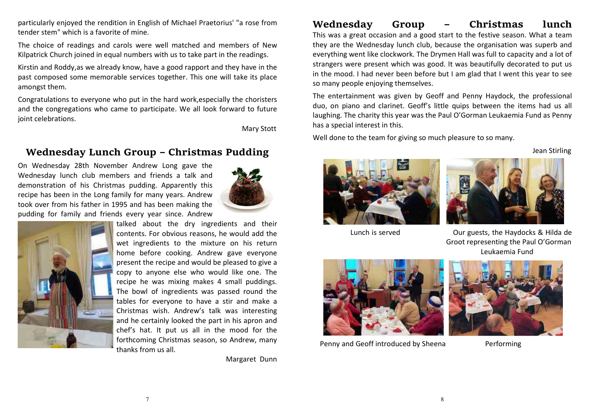particularly enjoyed the rendition in English of Michael Praetorius' "a rose from tender stem" which is a favorite of mine.

The choice of readings and carols were well matched and members of New Kilpatrick Church joined in equal numbers with us to take part in the readings.

Kirstin and Roddy,as we already know, have a good rapport and they have in the past composed some memorable services together. This one will take its place amongst them.

Congratulations to everyone who put in the hard work,especially the choristers and the congregations who came to participate. We all look forward to future joint celebrations.

Mary Stott

#### **Wednesday Lunch Group – Christmas Pudding**

On Wednesday 28th November Andrew Long gave the Wednesday lunch club members and friends a talk and demonstration of his Christmas pudding. Apparently this recipe has been in the Long family for many years. Andrew took over from his father in 1995 and has been making the pudding for family and friends every year since. Andrew





talked about the dry ingredients and their contents. For obvious reasons, he would add the wet ingredients to the mixture on his return home before cooking. Andrew gave everyone present the recipe and would be pleased to give a copy to anyone else who would like one. The recipe he was mixing makes 4 small puddings. The bowl of ingredients was passed round the tables for everyone to have a stir and make a Christmas wish. Andrew's talk was interesting and he certainly looked the part in his apron and chef's hat. It put us all in the mood for the forthcoming Christmas season, so Andrew, many thanks from us all.

Margaret Dunn

# **Wednesday Group – Christmas lunch**

 This was a great occasion and a good start to the festive season. What a team they are the Wednesday lunch club, because the organisation was superb and everything went like clockwork. The Drymen Hall was full to capacity and a lot of strangers were present which was good. It was beautifully decorated to put us in the mood. I had never been before but I am glad that I went this year to see so many people enjoying themselves.

The entertainment was given by Geoff and Penny Haydock, the professional duo, on piano and clarinet. Geoff's little quips between the items had us all laughing. The charity this year was the Paul O'Gorman Leukaemia Fund as Penny has a special interest in this.

Well done to the team for giving so much pleasure to so many.

Jean Stirling





Groot representing the Paul O'Gorman Leukaemia Fund

Lunch is served Our guests, the Haydocks & Hilda de





Penny and Geoff introduced by Sheena Performing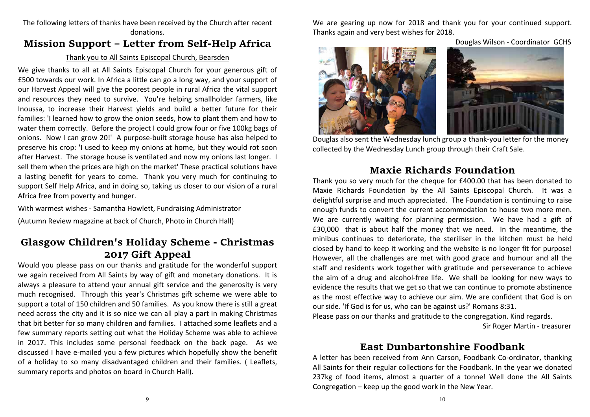#### The following letters of thanks have been received by the Church after recent donations.

# **Mission Support – Letter from Self-Help Africa**

#### Thank you to All Saints Episcopal Church, Bearsden

We give thanks to all at All Saints Episcopal Church for your generous gift of £500 towards our work. In Africa a little can go a long way, and your support of our Harvest Appeal will give the poorest people in rural Africa the vital support and resources they need to survive. You're helping smallholder farmers, like Inoussa, to increase their Harvest yields and build a better future for their families: 'I learned how to grow the onion seeds, how to plant them and how to water them correctly. Before the project I could grow four or five 100kg bags of onions. Now I can grow 20!' A purpose-built storage house has also helped to preserve his crop: 'I used to keep my onions at home, but they would rot soon after Harvest. The storage house is ventilated and now my onions last longer. I sell them when the prices are high on the market' These practical solutions have a lasting benefit for years to come. Thank you very much for continuing to support Self Help Africa, and in doing so, taking us closer to our vision of a rural Africa free from poverty and hunger.

With warmest wishes - Samantha Howlett, Fundraising Administrator

(Autumn Review magazine at back of Church, Photo in Church Hall)

# **Glasgow Children's Holiday Scheme - Christmas 2017 Gift Appeal**

 Would you please pass on our thanks and gratitude for the wonderful support we again received from All Saints by way of gift and monetary donations. It is always a pleasure to attend your annual gift service and the generosity is very much recognised. Through this year's Christmas gift scheme we were able to support a total of 150 children and 50 families. As you know there is still a great need across the city and it is so nice we can all play a part in making Christmas that bit better for so many children and families. I attached some leaflets and a few summary reports setting out what the Holiday Scheme was able to achieve in 2017. This includes some personal feedback on the back page. As we discussed I have e-mailed you a few pictures which hopefully show the benefit of a holiday to so many disadvantaged children and their families. ( Leaflets, summary reports and photos on board in Church Hall).

We are gearing up now for 2018 and thank you for your continued support. Thanks again and very best wishes for 2018.

Douglas Wilson - Coordinator GCHS



Douglas also sent the Wednesday lunch group a thank-you letter for the money collected by the Wednesday Lunch group through their Craft Sale.

#### **Maxie Richards Foundation**

 Thank you so very much for the cheque for £400.00 that has been donated to Maxie Richards Foundation by the All Saints Episcopal Church. It was a delightful surprise and much appreciated. The Foundation is continuing to raise enough funds to convert the current accommodation to house two more men. We are currently waiting for planning permission. We have had a gift of £30,000 that is about half the money that we need. In the meantime, the minibus continues to deteriorate, the steriliser in the kitchen must be held closed by hand to keep it working and the website is no longer fit for purpose! However, all the challenges are met with good grace and humour and all the staff and residents work together with gratitude and perseverance to achieve the aim of a drug and alcohol-free life. We shall be looking for new ways to evidence the results that we get so that we can continue to promote abstinence as the most effective way to achieve our aim. We are confident that God is on our side. 'If God is for us, who can be against us?' Romans 8:31.

Please pass on our thanks and gratitude to the congregation. Kind regards.

Sir Roger Martin - treasurer

#### **East Dunbartonshire Foodbank**

 A letter has been received from Ann Carson, Foodbank Co-ordinator, thanking All Saints for their regular collections for the Foodbank. In the year we donated 237kg of food items, almost a quarter of a tonne! Well done the All Saints Congregation – keep up the good work in the New Year.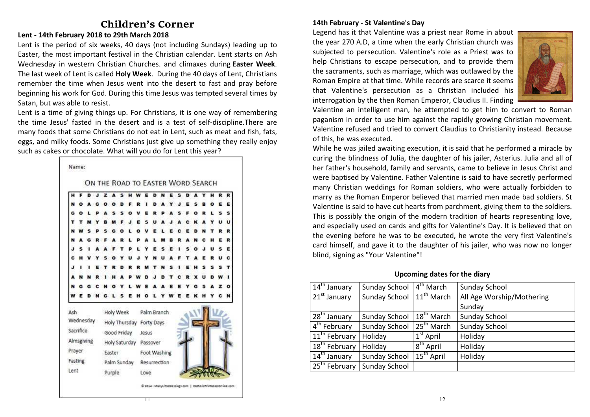# **Children's Corner**

#### **Lent - 14th February 2018 to 29th March 2018**

Lent is the period of six weeks, 40 days (not including Sundays) leading up to Easter, the most important festival in the Christian calendar. Lent starts on Ash Wednesday in western Christian Churches. and climaxes during **Easter Week**. The last week of Lent is called **Holy Week**. During the 40 days of Lent, Christians remember the time when Jesus went into the desert to fast and pray before beginning his work for God. During this time Jesus was tempted several times by Satan, but was able to resist.

Lent is a time of giving things up. For Christians, it is one way of remembering the time Jesus' fasted in the desert and is a test of self-discipline.There are many foods that some Christians do not eat in Lent, such as meat and fish, fats, eggs, and milky foods. Some Christians just give up something they really enjoy such as cakes or chocolate. What will you do for Lent this year?



#### **14th February - St Valentine's Day**

Legend has it that Valentine was a priest near Rome in about the year 270 A.D, a time when the early Christian church was subjected to persecution. Valentine's role as a Priest was to help Christians to escape persecution, and to provide them the sacraments, such as marriage, which was outlawed by the Roman Empire at that time. While records are scarce it seems that Valentine's persecution as a Christian included his interrogation by the then Roman Emperor, Claudius II. Finding



Valentine an intelligent man, he attempted to get him to convert to Roman paganism in order to use him against the rapidly growing Christian movement. Valentine refused and tried to convert Claudius to Christianity instead. Because of this, he was executed.

While he was jailed awaiting execution, it is said that he performed a miracle by curing the blindness of Julia, the daughter of his jailer, Asterius. Julia and all of her father's household, family and servants, came to believe in Jesus Christ and were baptised by Valentine. Father Valentine is said to have secretly performed many Christian weddings for Roman soldiers, who were actually forbidden to marry as the Roman Emperor believed that married men made bad soldiers. St Valentine is said to have cut hearts from parchment, giving them to the soldiers. This is possibly the origin of the modern tradition of hearts representing love, and especially used on cards and gifts for Valentine's Day. It is believed that on the evening before he was to be executed, he wrote the very first Valentine's card himself, and gave it to the daughter of his jailer, who was now no longer blind, signing as "Your Valentine"!

**Upcoming dates for the diary** 

| Sunday School | 4 <sup>th</sup> March  | Sunday School             |  |
|---------------|------------------------|---------------------------|--|
| Sunday School |                        | All Age Worship/Mothering |  |
|               |                        | Sunday                    |  |
| Sunday School | 18 <sup>th</sup> March | Sunday School             |  |
| Sunday School | $25th$ March           | Sunday School             |  |
| Holiday       | $1st$ April            | Holiday                   |  |
| Holiday       | 8 <sup>th</sup> April  | Holiday                   |  |
| Sunday School | $15^{th}$ April        | Holiday                   |  |
| Sunday School |                        |                           |  |
|               |                        | $11^{th}$ March           |  |